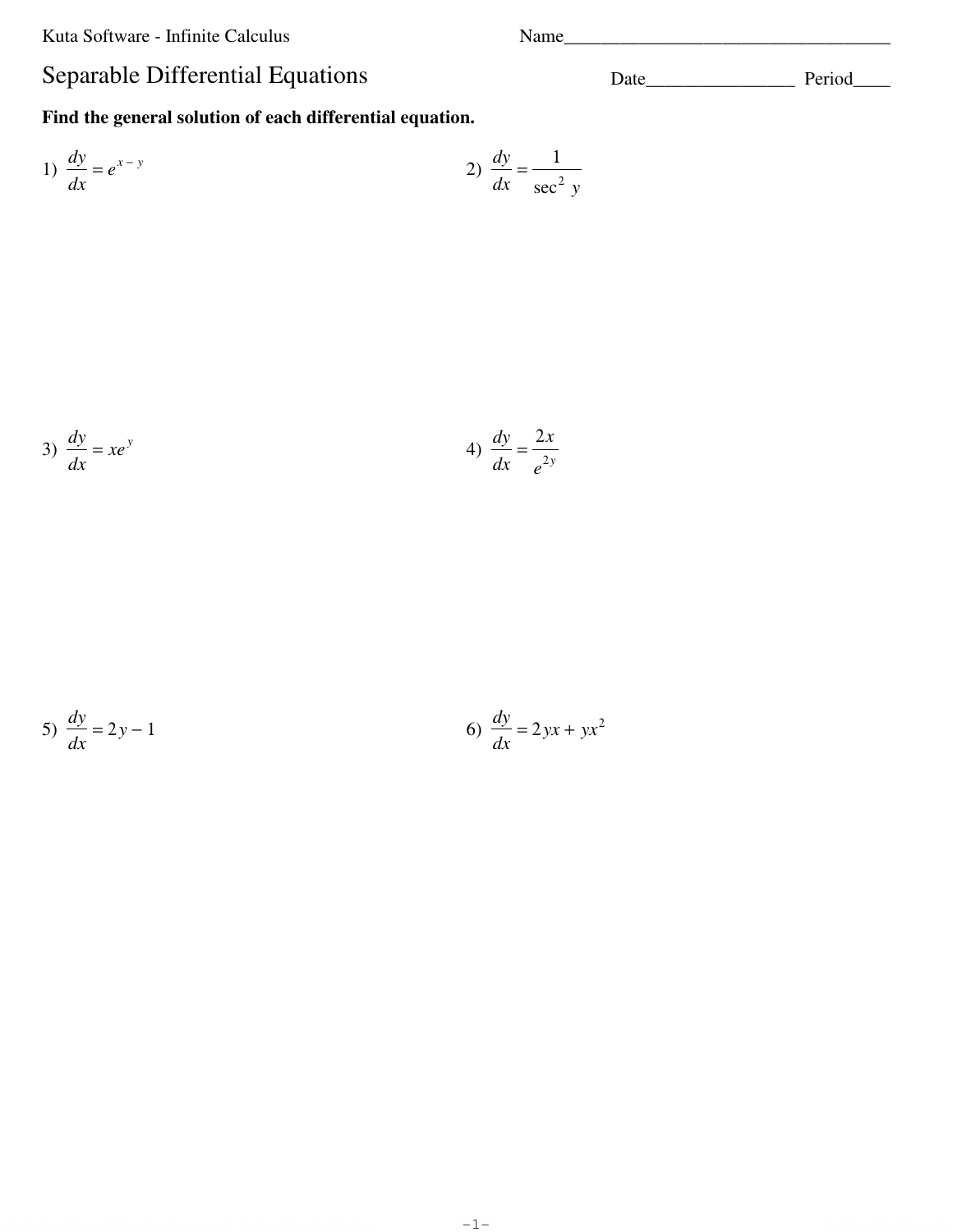Kuta Software - Infinite Calculus

## Separable Differential Equations

Find the general solution of each differential equation.

1) 
$$
\frac{dy}{dx} = e^{x-y}
$$
  
2)  $\frac{dy}{dx} = \frac{1}{\sec^2 y}$ 

$$
3) \frac{dy}{dx} = xe^y
$$
\n
$$
4) \frac{dy}{dx} = \frac{2x}{e^{2y}}
$$

$$
5) \frac{dy}{dx} = 2y - 1
$$

$$
6) \frac{dy}{dx} = 2yx + yx^2
$$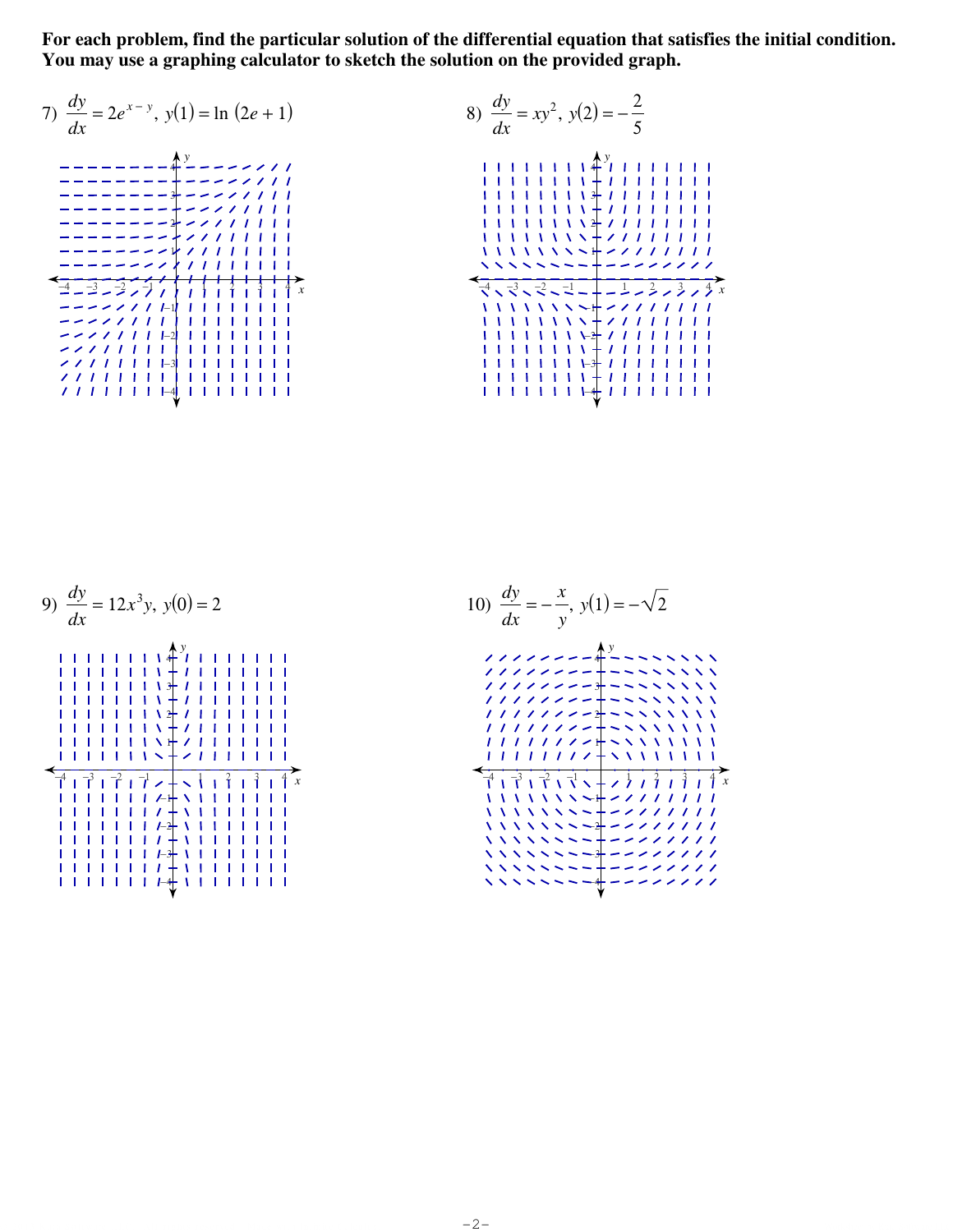**For each problem, find the particular solution of the differential equation that satisfies the initial condition. You may use a graphing calculator to sketch the solution on the provided graph.**



| 9) $\frac{dy}{dx} = 12x^3y, y(0) = 2$ |  |
|---------------------------------------|--|
| i i i i i                             |  |
| $\boldsymbol{x}$                      |  |

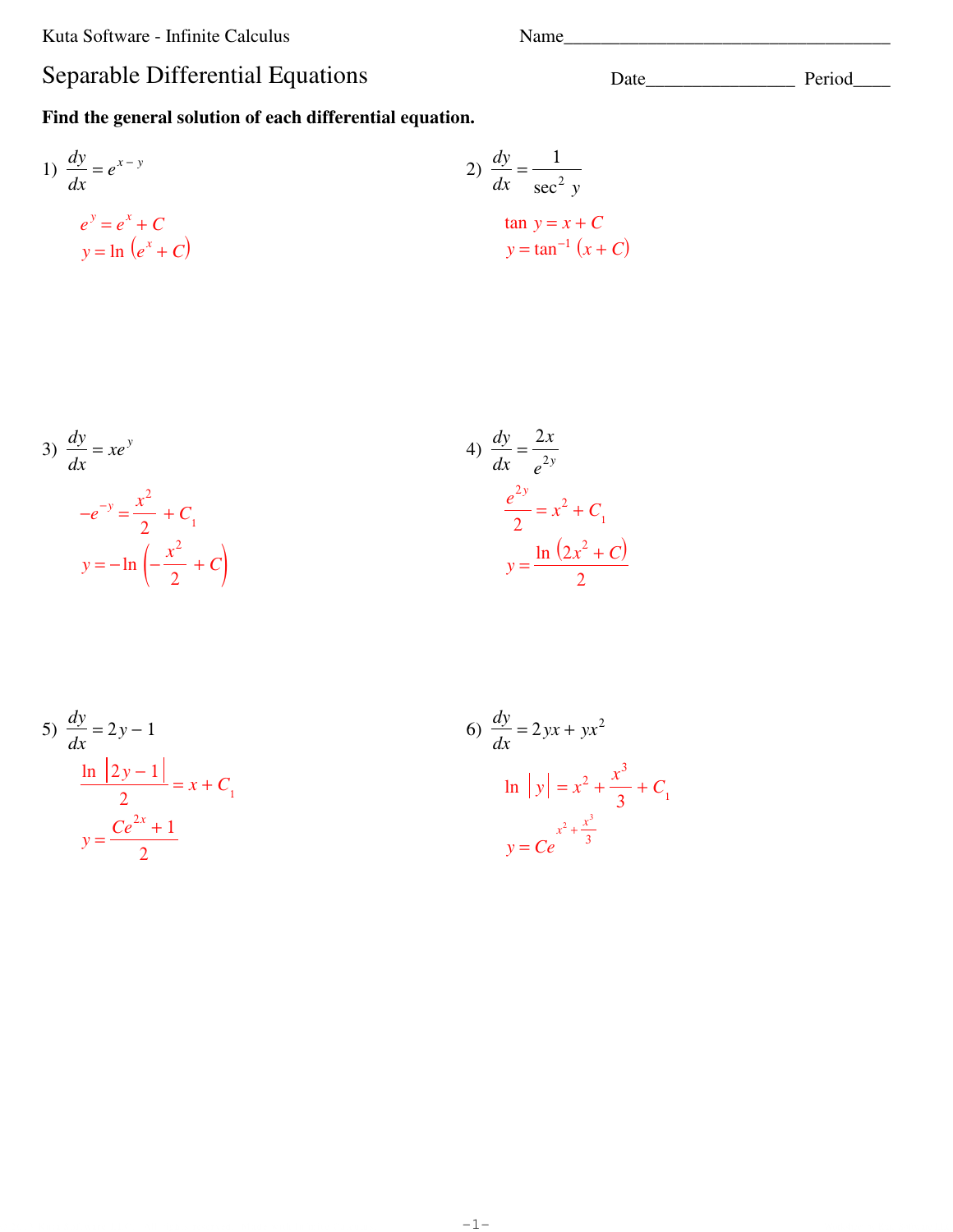Kuta Software - Infinite Calculus

## Separable Differential Equations

Find the general solution of each differential equation.

1) 
$$
\frac{dy}{dx} = e^{x-y}
$$
  
\n2)  $\frac{dy}{dx} = \frac{1}{\sec^2 y}$   
\n $e^y = e^x + C$   
\n $y = \ln (e^x + C)$   
\n2)  $\frac{dy}{dx} = \frac{1}{\sec^2 y}$   
\n $\tan y = x + C$   
\n $y = \tan^{-1} (x + C)$ 

3) 
$$
\frac{dy}{dx} = xe^y
$$

$$
-e^{-y} = \frac{x^2}{2} + C_1
$$

$$
y = -\ln\left(-\frac{x^2}{2} + C_2\right)
$$

4) 
$$
\frac{dy}{dx} = \frac{2x}{e^{2y}}
$$

$$
\frac{e^{2y}}{2} = x^2 + C_1
$$

$$
y = \frac{\ln(2x^2 + C)}{2}
$$

5) 
$$
\frac{dy}{dx} = 2y - 1
$$

$$
\frac{\ln |2y - 1|}{2} = x + C_1
$$

$$
y = \frac{Ce^{2x} + 1}{2}
$$

6) 
$$
\frac{dy}{dx} = 2yx + yx^2
$$
  
\nln |y| =  $x^2 + \frac{x^3}{3} + C_1$   
\n $y = Ce^{\frac{x^2 + \frac{x^3}{3}}{3}}$